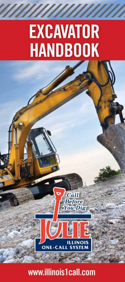# **EXCAVATOR HANDBOOK**

www.illinois1call.com

**ONE-CALL SYST** 

Call. **Before You Dig** 

**ILLINOIS**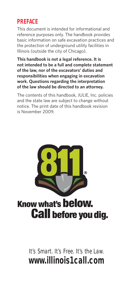## **PREFACE**

This document is intended for informational and reference purposes only. The handbook provides basic information on safe excavation practices and the protection of underground utility facilities in Illinois (outside the city of Chicago).

**This handbook is not a legal reference. It is not intended to be a full and complete statement of the law, nor of the excavators' duties and responsibilities when engaging in excavation work. Questions regarding the interpretation of the law should be directed to an attorney.**

The contents of this handbook, JULIE, Inc. policies and the state law are subject to change without notice. The print date of this handbook revision is November 2009.



It's Smart. It's Free. It's the Law. **www.illinois1call.com**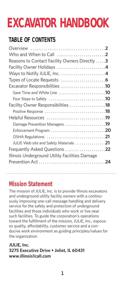## **EXCAVATOR HANDBOOK**

## **TABLE OF CONTENTS**

| Who and When to Call $\ldots \ldots \ldots \ldots \ldots \ldots$                      |  |
|---------------------------------------------------------------------------------------|--|
| Reasons to Contact Facility Owners Directly  3                                        |  |
|                                                                                       |  |
|                                                                                       |  |
|                                                                                       |  |
| Excavator Responsibilities 10                                                         |  |
| Save Time and White Line 10                                                           |  |
| Four Steps to Safety $\ldots \ldots \ldots \ldots \ldots \ldots \ldots \ldots \ldots$ |  |
| <b>Facility Owner Responsibilities 18</b>                                             |  |
|                                                                                       |  |
|                                                                                       |  |
| Damage Prevention Managers 19                                                         |  |
|                                                                                       |  |
|                                                                                       |  |
| JULIE Web site and Safety Materials 21                                                |  |
| <b>Frequently Asked Questions</b> 22                                                  |  |
| Illinois Underground Utility Facilities Damage                                        |  |
|                                                                                       |  |
|                                                                                       |  |

## **Mission Statement**

The mission of JULIE, Inc. is to provide Illinois excavators and underground utility facility owners with a continuously improving one-call message handling and delivery service for the safety and protection of underground facilities and those individuals who work or live near such facilities. To guide the corporation's operations toward the fulfillment of the mission, JULIE, Inc., espouses quality, affordability, customer service and a conducive work environment as guiding principles/values for the organization.

#### **JULIE, Inc. 3275 Executive Drive • Joliet, IL 60431 www.illinois1call.com**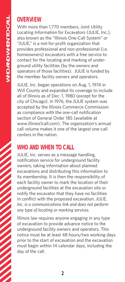### **OVERVIEW**

With more than 1,770 members, Joint Utility Locating Information for Excavators (JULIE, Inc.), also known as the "Illinois One-Call System" or "JULIE," is a not-for-profit organization that provides professional and non-professional (i.e. homeowners) excavators with a free service to contact for the locating and marking of underground utility facilities (by the owners and operators of those facilities). JULIE is funded by the member facility owners and operators.

JULIE, Inc. began operations on Aug. 1, 1974 in Will County and expanded its coverage to include all of Illinois as of Dec. 1, 1980 (except for the city of Chicago). In 1976, the JULIE system was accepted by the Illinois Commerce Commission as compliance with the one-call notification section of General Order 185 (available at www.illinois1call.com). The organization's annual call volume makes it one of the largest one-call centers in the nation.

## **WHO AND WHEN TO CALL**

JULIE, Inc. serves as a message handling, notification service for underground facility owners, taking information about planned excavations and distributing this information to its membership. It is then the responsibility of each facility owner to mark the location of their underground facilities at the excavation site or notify the excavator that they have no facilities in conflict with the proposed excavation. *JULIE, Inc. is a communications link and does not perform any type of locating or marking services.*

Illinois law requires anyone engaging in any type of excavation to provide advance notice to the underground facility owners and operators. This notice must be at least 48 hours/two working days prior to the start of excavation and the excavation must begin within 14 calendar days, including the day of the call.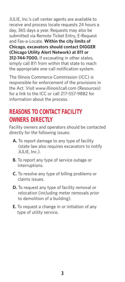JULIE, Inc.'s call center agents are available to receive and process locate requests 24 hours a day, 365 days a year. Requests may also be submitted via Remote Ticket Entry, E-Request and Fax-a-Locate. **Within the city limits of Chicago, excavators should contact DIGGER (Chicago Utility Alert Network) at 811 or 312-744-7000.** If excavating in other states, simply call 811 from within that state to reach the appropriate one-call notification system.

The Illinois Commerce Commission (ICC) is responsible for enforcement of the provisions in the Act. Visit www.illinois1call.com (Resources) for a link to the ICC or call 217-557-9882 for information about the process.

## **REASONS TO CONTACT FACILITY OWNERS DIRECTLY**

Facility owners and operators should be contacted directly for the following issues:

- **A.** To report damage to any type of facility (state law also requires excavators to notify JULIE, Inc.).
- **B.** To report any type of service outage or interruptions.
- **C.** To resolve any type of billing problems or claims issues.
- **D.** To request any type of facility removal or relocation (including meter removals prior to demolition of a building).
- **E.** To request a change in or initiation of any type of utility service.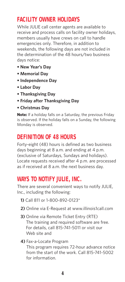## **FACILITY OWNER HOLIDAYS**

While JULIE call center agents are available to receive and process calls on facility owner holidays, members usually have crews on call to handle emergencies only. Therefore, in addition to weekends, the following days are not included in the determination of the 48 hours/two business days notice:

- **New Year's Day**
- **Memorial Day**
- **Independence Day**
- **Labor Day**
- **Thanksgiving Day**
- **Friday after Thanksgiving Day**
- **Christmas Day**

**Note:** If a holiday falls on a Saturday, the previous Friday is observed. If the holiday falls on a Sunday, the following Monday is observed.

## **DEFINITION OF 48 HOURS**

Forty-eight (48) hours is defined as two business days beginning at 8 a.m. and ending at 4 p.m. (exclusive of Saturdays, Sundays and holidays). Locate requests received after 4 p.m. are processed as if received at 8 a.m. the next business day.

## **WAYS TO NOTIFY JULIE, INC.**

There are several convenient ways to notify JULIE, Inc., including the following:

- **1)** Call 811 or 1-800-892-0123\*
- **2)** Online via E-Request at www.illinois1call.com
- **3)** Online via Remote Ticket Entry (RTE) The training and required software are free. For details, call 815-741-5011 or visit our Web site and

#### **4)** Fax-a-Locate Program

This program requires 72-hour advance notice from the start of the work. Call 815-741-5002 for information.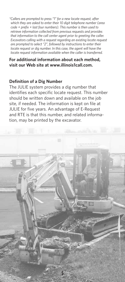*\*Callers are prompted to press "1" for a new locate request, after which they are asked to enter their 10 digit telephone number (area code + prefix + last four numbers). This number is then used to retrieve information collected from previous requests and provides that information to the call center agent prior to greeting the caller. Excavators calling with a request regarding an existing locate request are prompted to select "2", followed by instructions to enter their locate request or dig number. In this case, the agent will have the locate request information available when the caller is transferred.*

#### **For additional information about each method, visit our Web site at www.illinois1call.com.**

#### **Definition of a Dig Number**

The JULIE system provides a dig number that identifies each specific locate request. This number should be written down and available on the job site, if needed. The information is kept on file at JULIE for five years. An advantage of E-Request and RTE is that this number, and related information, may be printed by the excavator.

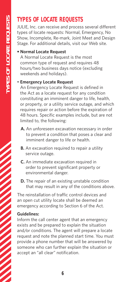## **TYPES OF LOCATE REQUESTS**

JULIE, Inc. can receive and process several different types of locate requests: Normal, Emergency, No Show, Incomplete, Re-mark, Joint Meet and Design Stage. For additional details, visit our Web site.

#### **• Normal Locate Request**

A Normal Locate Request is the most common type of request and requires 48 hours/two business days notice (excluding weekends and holidays).

#### • **Emergency Locate Request**

An Emergency Locate Request is defined in the Act as a locate request for any condition constituting an imminent danger to life, health, or property, or a utility service outage, and which requires repair or action before the expiration of 48 hours. Specific examples include, but are not limited to, the following:

- **A.** An unforeseen excavation necessary in order to prevent a condition that poses a clear and imminent danger to life or health.
- **B.** An excavation required to repair a utility service outage.
- **C.** An immediate excavation required in order to prevent significant property or environmental danger.
- **D.** The repair of an existing unstable condition that may result in any of the conditions above.

The reinstallation of traffic control devices and an open cut utility locate shall be deemed an emergency according to Section 6 of the Act.

#### **Guidelines:**

Inform the call center agent that an emergency exists and be prepared to explain the situation and/or conditions. The agent will prepare a locate request and note the planned start time. You must provide a phone number that will be answered by someone who can further explain the situation or accept an "all clear" notification.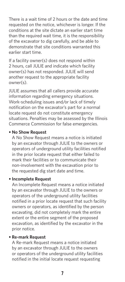There is a wait time of 2 hours or the date and time requested on the notice, whichever is longer. If the conditions at the site dictate an earlier start time than the required wait time, it is the responsibility of the excavator to dig carefully, and be able to demonstrate that site conditions warranted this earlier start time.

If a facility owner(s) does not respond within 2 hours, call JULIE and indicate which facility owner(s) has not responded. JULIE will send another request to the appropriate facility owner(s).

JULIE assumes that all callers provide accurate information regarding emergency situations. Work-scheduling issues and/or lack of timely notification on the excavator's part for a normal locate request do not constitute emergency situations. Penalties may be assessed by the Illinois Commerce Commission for false emergencies.

#### **• No Show Request**

A No Show Request means a notice is initiated by an excavator through JULIE to the owners or operators of underground utility facilities notified in the prior locate request that either failed to mark their facilities or to communicate their non-involvement with the excavation prior to the requested dig start date and time.

#### **• Incomplete Request**

An Incomplete Request means a notice initiated by an excavator through JULIE to the owners or operators of the underground utility facilities notified in a prior locate request that such facility owners or operators, as identified by the person excavating, did not completely mark the entire extent or the entire segment of the proposed excavation, as identified by the excavator in the prior notice.

#### **• Re-mark Request**

A Re-mark Request means a notice initiated by an excavator through JULIE to the owners or operators of the underground utility facilities notified in the initial locate request requesting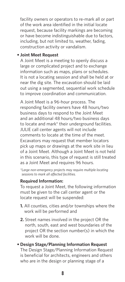facility owners or operators to re-mark all or part of the work area identified in the initial locate request, because facility markings are becoming or have become indistinguishable due to factors, including, but not limited to, weather, fading, construction activity or vandalism.

#### **• Joint Meet Request**

A Joint Meet is a meeting to openly discuss a large or complicated project and to exchange information such as maps, plans or schedules. It is not a locating session and shall be held at or near the dig site. The excavation should be laid out using a segmented, sequential work schedule to improve coordination and communication.

A Joint Meet is a 96-hour process. The responding facility owners have 48 hours/two business days to respond to the Joint Meet and an additional 48 hours/two business days to locate and mark\* their underground facilities. JULIE call center agents will not include comments to locate at the time of the meet. Excavators may request that member locators pick up maps or drawings at the work site in lieu of a Joint Meet. Although a Joint Meet is not held in this scenario, this type of request is still treated as a Joint Meet and requires 96 hours.

*\*Large non-emergency projects may require multiple locating sessions to mark all affected facilities.*

#### **Required Information:**

To request a Joint Meet, the following information must be given to the call center agent or the locate request will be suspended:

- **1.** All counties, cities and/or townships where the work will be performed and
- **2.** Street names involved in the project OR the north, south, east and west boundaries of the project OR the section number(s) in which the work will be done.

#### **• Design Stage/Planning Information Request** The Design Stage/Planning Information Request

is beneficial for architects, engineers and others who are in the design or planning stage of a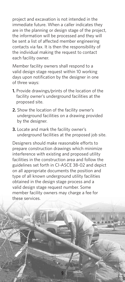project and excavation is not intended in the immediate future. When a caller indicates they are in the planning or design stage of the project, the information will be processed and they will be sent a list of affected member engineering contacts via fax. It is then the responsibility of the individual making the request to contact each facility owner.

Member facility owners shall respond to a valid design stage request within 10 working days upon notification by the designer in one of three ways:

- **1.** Provide drawings/prints of the location of the facility owner's underground facilities at the proposed site.
- **2.** Show the location of the facility owner's underground facilities on a drawing provided by the designer.
- **3.** Locate and mark the facility owner's underground facilities at the proposed job site.

Designers should make reasonable efforts to prepare construction drawings which minimize interference with existing and proposed utility facilities in the construction area and follow the guidelines set forth in CI-ASCE 38-02 and depict on all appropriate documents the position and type of all known underground utility facilities obtained in the design stage process and a valid design stage request number. Some member facility owners may charge a fee for these services.

**9**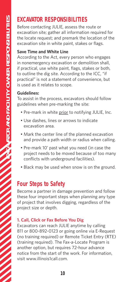## **EXCAVATOR RESPONSIBILITIES**

Before contacting JULIE, assess the route or excavation site; gather all information required for the locate request; and premark the location of the excavation site in white paint, stakes or flags.

#### **Save Time and White Line**

According to the Act, every person who engages in nonemergency excavation or demolition shall, if practical, use white paint, flags, stakes or both, to outline the dig site. According to the ICC, "if practical" is not a statement of convenience, but is used as it relates to scope.

#### **Guidelines:**

To assist in the process, excavators should follow guidelines when pre-marking the site:

- Pre-mark in white prior to notifying JULIE, Inc.
- Use dashes, lines or arrows to indicate excavation area.
- Mark the center line of the planned excavation and provide a path width or radius when calling.
- Pre-mark 10' past what you need (in case the project needs to be moved because of too many conflicts with underground facilities).
- Black may be used when snow is on the ground.

## **Four Steps to Safety**

Become a partner in damage prevention and follow these four important steps when planning any type of project that involves digging, regardless of the project size or depth.

#### **1. Call, Click or Fax Before You Dig**

Excavators can reach JULIE anytime by calling 811 or 800-892-0123 or going online via E-Request (no training required) or Remote Ticket Entry (RTE) (training required). The Fax-a-Locate Program is another option, but requires 72-hour advance notice from the start of the work. For information, visit www.illinois1call.com.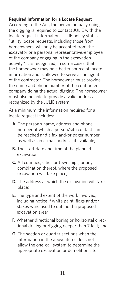#### **Required Information for a Locate Request**

According to the Act, the person actually doing the digging is required to contact JULIE with the locate request information. JULIE policy states, "utility locate requests, including those from homeowners, will only be accepted from the excavator or a personal representative/employee of the company engaging in the excavation activity." It is recognized, in some cases, that the homeowner may be a better source of locate information and is allowed to serve as an agent of the contractor. The homeowner must provide the name and phone number of the contracted company doing the actual digging. The homeowner must also be able to provide a valid address recognized by the JULIE system.

At a minimum, the information required for a locate request includes:

- **A.** The person's name, address and phone number at which a person/site contact can be reached and a fax and/or pager number as well as an e-mail address, if available;
- **B.** The start date and time of the planned excavation;
- **C.** All counties, cities or townships, or any combination thereof, where the proposed excavation will take place;
- **D.** The address at which the excavation will take place;
- **E.** The type and extent of the work involved, including notice if white paint, flags and/or stakes were used to outline the proposed excavation area;
- **F.** Whether directional boring or horizontal directional drilling or digging deeper than 7 feet; and
- **G**. The section or quarter sections when the information in the above items does not allow the one-call system to determine the appropriate excavation or demolition site.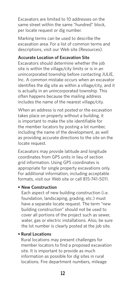Excavators are limited to 10 addresses on the same street within the same "hundred" block, per locate request or dig number.

Marking terms can be used to describe the excavation area. For a list of common terms and descriptions, visit our Web site (Resources).

#### **Accurate Location of Excavation Site**

Excavators should determine whether the job site is within the village/city limits or is in an unincorporated township before contacting JULIE, Inc. A common mistake occurs when an excavator identifies the dig site as within a village/city, and it is actually in an unincorporated township. This often happens because the mailing address includes the name of the nearest village/city.

When an address is not posted or the excavation takes place on property without a building, it is important to make the site identifiable for the member locators by posting a lot number, including the name of the development, as well as providing accurate directions to the site on the locate request.

Excavators may provide latitude and longitude coordinates from GPS units in lieu of section grid information. Using GPS coordinates is appropriate for single property excavations only. For additional information, including acceptable formats, visit our Web site or call 815-741-5011.

#### **• New Construction**

Each aspect of new building construction (i.e. foundation, landscaping, grading, etc.) must have a separate locate request. The term "new building construction" should not be used to cover all portions of the project such as sewer, water, gas or electric installations. Also, be sure the lot number is clearly posted at the job site.

#### **• Rural Locations**

Rural locations may present challenges for member locators to find a proposed excavation site. It is important to provide as much information as possible for dig sites in rural locations. Fire department numbers, mileage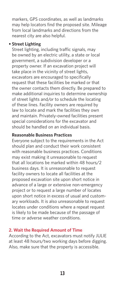markers, GPS coordinates, as well as landmarks may help locators find the proposed site. Mileage from local landmarks and directions from the nearest city are also helpful.

#### **• Street Lighting**

Street lighting, including traffic signals, may be owned by an electric utility, a state or local government, a subdivision developer or a property owner. If an excavation project will take place in the vicinity of street lights, excavators are encouraged to specifically request that these facilities be marked or that the owner contacts them directly. Be prepared to make additional inquiries to determine ownership of street lights and/or to schedule the locating of these lines. Facility owners are required by law to locate and mark the facilities they own and maintain. Privately-owned facilities present special considerations for the excavator and should be handled on an individual basis.

#### **Reasonable Business Practices**

Everyone subject to the requirements in the Act should plan and conduct their work consistent with reasonable business practices. Conditions may exist making it unreasonable to request that all locations be marked within 48 hours/2 business days. It is unreasonable to request facility owners to locate all facilities at the proposed excavation site upon short notice in advance of a large or extensive non-emergency project or to request a large number of locates upon short notice in excess of usual and customary workloads. It is also unreasonable to request locates under conditions where a repeat request is likely to be made because of the passage of time or adverse weather conditions.

#### **2. Wait the Required Amount of Time**

According to the Act, excavators must notify JULIE at least 48 hours/two working days before digging. Also, make sure that the property is accessible.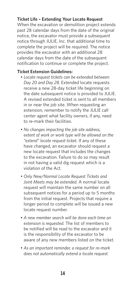#### **Ticket Life – Extending Your Locate Request**

When the excavation or demolition project extends past 28 calendar days from the date of the original notice, the excavator must provide a subsequent notice through JULIE, Inc. that additional time to complete the project will be required. The notice provides the excavator with an additional 28 calendar days from the date of the subsequent notification to continue or complete the project.

#### **Ticket Extension Guidelines:**

- *Locate request tickets can be extended between Day 20 and Day 28.* Extended locate requests receive a new 28-day ticket life beginning on the date subsequent notice is provided to JULIE. A revised extended ticket is sent to all members in or near the job site. When requesting an extension, remember to notify the JULIE call center agent what facility owners, if any, need to re-mark their facilities.
- *No changes impacting the job site address, extent of work or work type will be allowed on the "extend" locate request ticket.* If any of these have changed, an excavator should request a new locate request that includes the changes to the excavation. Failure to do so may result in not having a valid dig request which is a violation of the Act.
- *Only New/Normal Locate Request Tickets and Joint Meets may be extended.* A normal locate request will maintain the same number on all subsequent notices for a period up to 5 months from the initial request. Projects that require a longer period to complete will be issued a new locate request number.
- *A new member search will be done each time an extension is requested.* The list of members to be notified will be read to the excavator and it is the responsibility of the excavator to be aware of any new members listed on the ticket.
- *As an important reminder, a request for re-mark does not automatically extend a locate request.*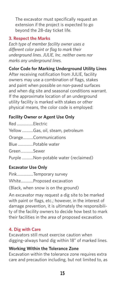The excavator must specifically request an extension if the project is expected to go beyond the 28-day ticket life.

#### **3. Respect the Marks**

*Each type of member facility owner uses a different color paint or flag to mark their underground lines. JULIE, Inc. neither owns nor marks any underground lines.* 

#### **Color Code for Marking Underground Utility Lines**

After receiving notification from JULIE, facility owners may use a combination of flags, stakes and paint when possible on non-paved surfaces and when dig site and seasonal conditions warrant. If the approximate location of an underground utility facility is marked with stakes or other physical means, the color code is employed:

#### **Facility Owner or Agent Use Only**

| Red Electric |                                      |
|--------------|--------------------------------------|
|              | Yellow Gas, oil, steam, petroleum    |
|              | OrangeCommunications                 |
|              | Blue Potable water                   |
| GreenSewer   |                                      |
|              | Purple Non-potable water (reclaimed) |
|              |                                      |

#### **Excavator Use Only**

Pink................Temporary survey White............Proposed excavation (Black, when snow is on the ground)

An excavator may request a dig site to be marked with paint or flags, etc.; however, in the interest of damage prevention, it is ultimately the responsibility of the facility owners to decide how best to mark their facilities in the area of proposed excavation.

#### **4. Dig with Care**

Excavators still must exercise caution when digging–always hand dig within 18" of marked lines.

#### **Working Within the Tolerance Zone**

Excavation within the tolerance zone requires extra care and precaution including, but not limited to, as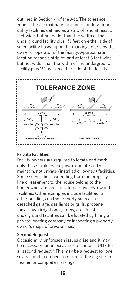outlined in Section 4 of the Act. The tolerance zone is the approximate location of underground utility facilities defined as a strip of land at least 3 feet wide, but not wider than the width of the underground facility plus 1½ feet on either side of such facility based upon the markings made by the owner or operator of the facility. Approximate location means a strip of land at least 3 feet wide, but not wider than the width of the underground facility plus 1½ feet on either side of the facility.



#### **Private Facilities**

Facility owners are required to locate and mark only those facilities they own, operate and/or maintain, not private (installed or owned) facilities. Some service lines extending from the property line or easement to the house belong to the homeowner and are considered privately-owned facilities. Other examples include facilities to other buildings on the property such as a detached garage, gas lights or grills, propane tanks, lawn irrigation systems, etc. Private underground facilities can be located by hiring a private locating company or inspecting a property owner's maps of private lines.

#### **Second Requests**

Occasionally, unforeseen issues arise and it may be necessary for an excavator to contact JULIE for a "second request." This may be a request for one, several or all members to return to the dig site to freshen or complete markings.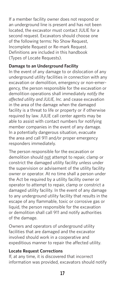If a member facility owner does not respond or an underground line is present and has not been located, the excavator must contact JULIE for a second request. Excavators should choose one of the following terms: No Show Request, Incomplete Request or Re-mark Request. Definitions are included in this handbook (Types of Locate Requests).

#### **Damage to an Underground Facility**

In the event of any damage to or dislocation of any underground utility facilities in connection with any excavation or demolition, emergency or non-emergency, the person responsible for the excavation or demolition operations shall immediately *notify the affected utility and JULIE, Inc.* and cease excavation in the area of the damage when the damaged facility is a threat to life or property or if otherwise required by law. JULIE call center agents may be able to assist with contact numbers for notifying member companies in the event of any damage. In a potentially dangerous situation, evacuate the area and call 911 and/or proper emergency responders immediately.

The person responsible for the excavation or demolition should not attempt to repair, clamp or constrict the damaged utility facility unless under the supervision or advisement of the utility facility owner or operator. At no time shall a person under the Act be required by a utility facility owner or operator to attempt to repair, clamp or constrict a damaged utility facility. In the event of any damage to any underground utility facility that results in the escape of any flammable, toxic or corrosive gas or liquid, the person responsible for the excavation or demolition shall call 911 and notify authorities of the damage.

Owners and operators of underground utility facilities that are damaged and the excavator involved should work in a cooperative and expeditious manner to repair the affected utility.

#### **Locate Request Corrections**

If, at any time, it is discovered that incorrect information was provided, excavators should notify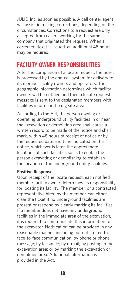JULIE, Inc. as soon as possible. A call center agent will assist in making corrections, depending on the circumstances. Corrections to a request are only accepted from callers working for the same company that originated the request. When a corrected ticket is issued, an additional 48 hours may be required.

## **FACILITY OWNER RESPONSIBILITIES**

After the completion of a locate request, the ticket is processed by the one-call system for delivery to its member facility owners and operators. The geographic information determines which facility owners will be notified and then a locate request message is sent to the designated members with facilities in or near the dig site area.

According to the Act, the person owning or operating underground utility facilities in or near the excavation or demolition area shall cause a written record to be made of the notice and shall mark, within 48 hours of receipt of notice or by the requested date and time indicated on the notice, whichever is later, the approximate locations of such facilities so as to enable the person excavating or demolishing to establish the location of the underground utility facilities.

#### **Positive Response**

Upon receipt of the locate request, each notified member facility owner determines its responsibility for locating its facility. The member, or a contracted representative hired by the member, can either clear the ticket if no underground facilities are present or respond by clearly marking its facilities. If a member does not have any underground facilities in the immediate area of the excavation, it is required to communicate this information to the excavator. Notification can be provided in any reasonable manner, including but not limited to, face-to-face communication; by phone or phone message; by facsimile; by e-mail; by posting in the excavation area; or by marking the excavation or demolition area. Additional information is provided in the Act.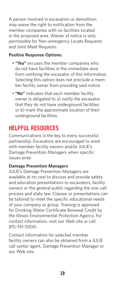A person involved in excavation or demolition may waive the right to notification from the member companies with no facilities located in the proposed area. Waiver of notice is only permissible for Non-emergency Locate Requests and Joint Meet Requests.

#### **Positive Response Options:**

- **"Yes"** excuses the member companies who do not have facilities in the immediate area from notifying the excavator of this information. Selecting this option does not preclude a member facility owner from providing said notice.
- **"No"** indicates that each member facility owner is obligated to a) notify the excavator that they do not have underground facilities or b) mark the approximate location of their underground facilities.

## **HELPFUL RESOURCES**

Communications is the key to every successful partnership. Excavators are encouraged to work with member facility owners and/or JULIE's Damage Prevention Managers when specific issues arise.

#### **Damage Prevention Managers**

JULIE's Damage Prevention Managers are available at no cost to discuss and provide safety and education presentations to excavators, facility owners or the general public regarding the one-call process and state law. Classes or presentations can be tailored to meet the specific educational needs of your company or group. Training is approved for Drinking Water Certificate Renewal Credit by the Illinois Environmental Protection Agency. For contact information, visit our Web site or call 815-741-5000.

Contact information for selected member facility owners can also be obtained from a JULIE call center agent, Damage Prevention Manager or our Web site.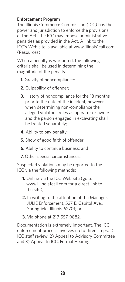#### **Enforcement Program**

The Illinois Commerce Commission (ICC) has the power and jurisdiction to enforce the provisions of the Act. The ICC may impose administrative penalties as provided in the Act. A link to the ICC's Web site is available at www.illinois1call.com (Resources).

When a penalty is warranted, the following criteria shall be used in determining the magnitude of the penalty:

- **1.** Gravity of noncompliance;
- **2.** Culpability of offender;
- **3.** History of noncompliance for the 18 months prior to the date of the incident; however, when determining non-compliance the alleged violator's roles as operator or owner and the person engaged in excavating shall be treated separately;
- **4.** Ability to pay penalty;
- **5.** Show of good faith of offender;
- **6.** Ability to continue business; and
- **7.** Other special circumstances.

Suspected violations may be reported to the ICC via the following methods:

- **1.** Online via the ICC Web site (go to www.illinois1call.com for a direct link to the site);
- **2.** In writing to the attention of the Manager, JULIE Enforcement, 527 E. Capitol Ave., Springfield, Illinois 62701; or
- **3.** Via phone at 217-557-9882.

Documentation is extremely important. The ICC enforcement process involves up to three steps: 1) ICC staff review, 2) Appeal to Advisory Committee and 3) Appeal to ICC, Formal Hearing.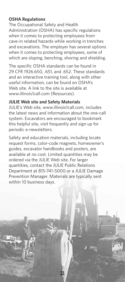#### **OSHA Regulations**

The Occupational Safety and Health Administration (OSHA) has specific regulations when it comes to protecting employees from cave-in related hazards while working in trenches and excavations. The employer has several options when it comes to protecting employees, some of which are sloping, benching, shoring and shielding.

The specific OSHA standards can be found in 29 CFR 1926.650, .651, and .652. These standards and an interactive training tool, along with other useful information, can be found on OSHA's Web site. A link to the site is available at www.illinois1call.com (Resources).

#### **JULIE Web site and Safety Materials**

JULIE's Web site, www.illinois1call.com, includes the latest news and information about the one-call system. Excavators are encouraged to bookmark this helpful site, visit frequently and sign up for periodic e-newsletters.

Safety and education materials, including locate request forms, color-code magnets, homeowner's guides, excavator handbooks and posters, are available at no cost. Limited quantities may be ordered via the JULIE Web site. For larger quantities, contact the JULIE Public Relations Department at 815-741-5000 or a JULIE Damage Prevention Manager. Materials are typically sent within 10 business days.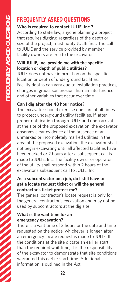## **FREQUENTLY ASKED QUESTIONS**

#### **Who is required to contact JULIE, Inc.?**

According to state law, anyone planning a project that requires digging, regardless of the depth or size of the project, must notify JULIE first. The call to JULIE and the service provided by member facility owners are free to the excavator.

#### **Will JULIE, Inc. provide me with the specific location or depth of public utilities?**

JULIE does not have information on the specific location or depth of underground facilities. Facility depths can vary due to installation practices, changes in grade, soil erosion, human interference and other variables that occur over time.

#### **Can I dig after the 48 hour notice?**

The excavator should exercise due care at all times to protect underground utility facilities. If, after proper notification through JULIE and upon arrival at the site of the proposed excavation, the excavator observes clear evidence of the presence of an unmarked or incompletely marked utilities in the area of the proposed excavation, the excavator shall not begin excavating until all affected facilities have been marked or 2 hours after a subsequent call is made to JULIE, Inc. The facility owner or operator of the utility shall respond within 2 hours of the excavator's subsequent call to JULIE, Inc.

#### **As a subcontractor on a job, do I still have to get a locate request ticket or will the general contractor's ticket protect me?**

The general contractor's locate request is only for the general contractor's excavation and may not be used by subcontractors at the dig site.

#### **What is the wait time for an emergency excavation?**

There is a wait time of 2 hours or the date and time requested on the notice, whichever is longer, after an emergency locate request is made to JULIE. If the conditions at the site dictate an earlier start than the required wait time, it is the responsibility of the excavator to demonstrate that site conditions warranted this earlier start time. Additional information is outlined in the Act.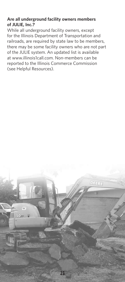#### **Are all underground facility owners members of JULIE, Inc.?**

While all underground facility owners, except for the Illinois Department of Transportation and railroads, are required by state law to be members, there may be some facility owners who are not part of the JULIE system. An updated list is available at www.illinois1call.com. Non-members can be reported to the Illinois Commerce Commission (see Helpful Resources).

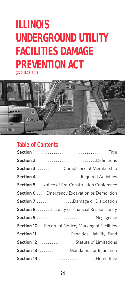## **ILLINOIS UNDERGROUND UTILITY FACILITIES DAMAGE PREVENTION ACT (220 ILCS 50/)**



## **Table of Contents**

| Section 2 Definitions                                  |
|--------------------------------------------------------|
| Section 3 Compliance of Membership                     |
| Section 4 Required Activities                          |
| <b>Section 5</b> Notice of Pre-Construction Conference |
| Section 6 Emergency Excavation or Demolition           |
| Section 7 Damage or Dislocation                        |
| <b>Section 8</b> Liability or Financial Responsibility |
| Section 9 Negligence                                   |
| Section 10 Record of Notice; Marking of Facilities     |
| Section 11  Penalties; Liability; Fund                 |
| Section 12 Statute of Limitations                      |
| Section 13  Mandamus or Injunction                     |
|                                                        |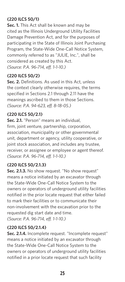#### **(220 ILCS 50/1)**

**Sec. 1.** This Act shall be known and may be cited as the Illinois Underground Utility Facilities Damage Prevention Act, and for the purposes of participating in the State of Illinois Joint Purchasing Program, the State-Wide One-Call Notice System, commonly referred to as "JULIE, Inc.", shall be considered as created by this Act. *(Source: P.A. 96-714, eff. 1-1-10.)*

#### **(220 ILCS 50/2)**

**Sec. 2.** Definitions. As used in this Act, unless the context clearly otherwise requires, the terms specified in Sections 2.1 through 2.11 have the meanings ascribed to them in those Sections. *(Source: P.A. 94-623, eff. 8-18-05.)*

#### **(220 ILCS 50/2.1)**

**Sec. 2.1.** "Person" means an individual, firm, joint venture, partnership, corporation, association, municipality or other governmental unit, department or agency, utility cooperative, or joint stock association, and includes any trustee, receiver, or assignee or employee or agent thereof. *(Source: P.A. 96-714, eff. 1-1-10.)*

#### **(220 ILCS 50/2.1.3)**

**Sec. 2.1.3.** No show request. "No show request" means a notice initiated by an excavator through the State-Wide One-Call Notice System to the owners or operators of underground utility facilities notified in the prior locate request that either failed to mark their facilities or to communicate their non-involvement with the excavation prior to the requested dig start date and time. *(Source: P.A. 96-714, eff. 1-1-10.)*

#### **(220 ILCS 50/2.1.4)**

**Sec. 2.1.4.** Incomplete request. "Incomplete request" means a notice initiated by an excavator through the State-Wide One-Call Notice System to the owners or operators of underground utility facilities notified in a prior locate request that such facility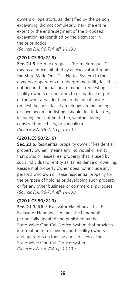owners or operators, as identified by the person excavating, did not completely mark the entire extent or the entire segment of the proposed excavation, as identified by the excavator in the prior notice.

*(Source: P.A. 96-714, eff. 1-1-10.)*

#### **(220 ILCS 50/2.1.5)**

**Sec. 2.1.5**. Re-mark request. "Re-mark request" means a notice initiated by an excavator through the State-Wide One-Call Notice System to the owners or operators of underground utility facilities notified in the initial locate request requesting facility owners or operators to re-mark all or part of the work area identified in the initial locate request, because facility markings are becoming or have become indistinguishable due to factors, including, but not limited to, weather, fading, construction activity, or vandalism. *(Source: P.A. 96-714, eff. 1-1-10.)*

#### **(220 ILCS 50/2.1.6)**

**Sec. 2.1.6.** Residential property owner. "Residential property owner" means any individual or entity that owns or leases real property that is used by such individual or entity as its residence or dwelling. Residential property owner does not include any persons who own or lease residential property for the purpose of holding or developing such property or for any other business or commercial purposes. *(Source: P.A. 96-714, eff. 1-1-10.)*

#### **(220 ILCS 50/2.1.9)**

Sec. 2.1.9. JULIF Excavator Handbook. "JULIF Excavator Handbook" means the handbook periodically updated and published by the State-Wide One-Call Notice System that provides information for excavators and facility owners and operators on the use and services of the State-Wide One-Call Notice System. *(Source: P.A. 96-714, eff. 1-1-10.)*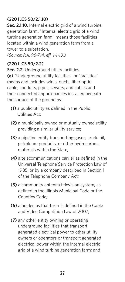#### **(220 ILCS 50/2.1.10)**

**Sec. 2.1.10.** Internal electric grid of a wind turbine generation farm. "Internal electric grid of a wind turbine generation farm" means those facilities located within a wind generation farm from a tower to a substation.

*(Source: P.A. 96-714, eff. 1-1-10.)*

#### **(220 ILCS 50/2.2)**

**Sec. 2.2.** Underground utility facilities. **(a)** "Underground utility facilities" or "facilities" means and includes wires, ducts, fiber optic cable, conduits, pipes, sewers, and cables and their connected appurtenances installed beneath the surface of the ground by:

- **(1)** a public utility as defined in the Public Utilities Act;
- **(2)** a municipally owned or mutually owned utility providing a similar utility service;
- **(3)** a pipeline entity transporting gases, crude oil, petroleum products, or other hydrocarbon materials within the State;
- **(4)** a telecommunications carrier as defined in the Universal Telephone Service Protection Law of 1985, or by a company described in Section 1 of the Telephone Company Act;
- **(5)** a community antenna television system, as defined in the Illinois Municipal Code or the Counties Code;
- **(6)** a holder, as that term is defined in the Cable and Video Competition Law of 2007;
- **(7)** any other entity owning or operating underground facilities that transport generated electrical power to other utility owners or operators or transport generated electrical power within the internal electric grid of a wind turbine generation farm; and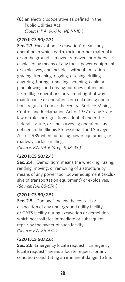**(8)** an electric cooperative as defined in the Public Utilities Act. *(Source: P.A. 96-714, eff. 1-1-10.)*

#### **(220 ILCS 50/2.3)**

**Sec. 2.3.** Excavation. "Excavation" means any operation in which earth, rock, or other material in or on the ground is moved, removed, or otherwise displaced by means of any tools, power equipment or explosives, and includes, without limitation, grading, trenching, digging, ditching, drilling, auguring, boring, tunneling, scraping, cable or pipe plowing, and driving but does not include farm tillage operations or railroad right of way maintenance or operations or coal mining operations regulated under the Federal Surface Mining Control and Reclamation Act of 1977 or any State law or rules or regulations adopted under the federal statute, or land surveying operations as defined in the Illinois Professional Land Surveyor Act of 1989 when not using power equipment, or roadway surface milling.

*(Source: P.A. 94-623, eff. 8-18-05.)*

#### **(220 ILCS 50/2.4)**

**Sec. 2.4.** "Demolition" means the wrecking, razing, rending, moving, or removing of a structure by means of any power tool, power equipment (exclusive of transportation equipment) or explosives. *(Source: P.A. 86-674.)*

#### **(220 ILCS 50/2.5)**

**Sec. 2.5.** "Damage" means the contact or dislocation of any underground utility facility or CATS facility during excavation or demolition which necessitates immediate or subsequent repair by the owner of such facility. *(Source: P.A. 86-674.)*

#### **(220 ILCS 50/2.6)**

**Sec. 2.6.** Emergency locate request. "Emergency locate request" means a locate request for any condition constituting an imminent danger to life,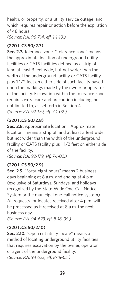health, or property, or a utility service outage, and which requires repair or action before the expiration of 48 hours.

*(Source: P.A. 96-714, eff. 1-1-10.)*

#### **(220 ILCS 50/2.7)**

**Sec. 2.7.** Tolerance zone. "Tolerance zone" means the approximate location of underground utility facilities or CATS facilities defined as a strip of land at least 3 feet wide, but not wider than the width of the underground facility or CATS facility plus 1 1/2 feet on either side of such facility based upon the markings made by the owner or operator of the facility. Excavation within the tolerance zone requires extra care and precaution including, but not limited to, as set forth in Section 4. *(Source: P.A. 92-179, eff. 7-1-02.)*

#### **(220 ILCS 50/2.8)**

**Sec. 2.8.** Approximate location. "Approximate location" means a strip of land at least 3 feet wide, but not wider than the width of the underground facility or CATS facility plus 1 1/2 feet on either side of the facility.

*(Source: P.A. 92-179, eff. 7-1-02.)*

#### **(220 ILCS 50/2.9)**

**Sec. 2.9.** "Forty-eight hours" means 2 business days beginning at 8 a.m. and ending at 4 p.m. (exclusive of Saturdays, Sundays, and holidays recognized by the State-Wide One-Call Notice System or the municipal one-call notice system). All requests for locates received after 4 p.m. will be processed as if received at 8 a.m. the next business day.

*(Source: P.A. 94-623, eff. 8-18-05.)*

#### **(220 ILCS 50/2.10)**

**Sec. 2.10.** "Open cut utility locate" means a method of locating underground utility facilities that requires excavation by the owner, operator, or agent of the underground facility. *(Source: P.A. 94 623, eff. 8-18-05.)*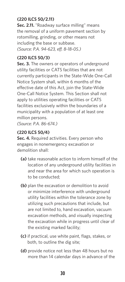#### **(220 ILCS 50/2.11)**

**Sec. 2.11.** "Roadway surface milling" means the removal of a uniform pavement section by rotomilling, grinding, or other means not including the base or subbase. *(Source: P.A. 94-623, eff. 8-18-05.)*

#### **(220 ILCS 50/3)**

**Sec. 3.** The owners or operators of underground utility facilities or CATS facilities that are not currently participants in the State-Wide One-Call Notice System shall, within 6 months of the effective date of this Act, join the State-Wide One-Call Notice System. This Section shall not apply to utilities operating facilities or CATS facilities exclusively within the boundaries of a municipality with a population of at least one million persons.

*(Source: P.A. 86-674.)*

#### **(220 ILCS 50/4)**

**Sec. 4.** Required activities. Every person who engages in nonemergency excavation or demolition shall:

- **(a)** take reasonable action to inform himself of the location of any underground utility facilities in and near the area for which such operation is to be conducted;
- **(b)** plan the excavation or demolition to avoid or minimize interference with underground utility facilities within the tolerance zone by utilizing such precautions that include, but are not limited to, hand excavation, vacuum excavation methods, and visually inspecting the excavation while in progress until clear of the existing marked facility;
- **(c)** if practical, use white paint, flags, stakes, or both, to outline the dig site;
- **(d)** provide notice not less than 48 hours but no more than 14 calendar days in advance of the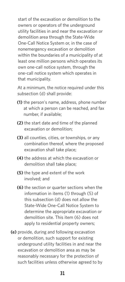start of the excavation or demolition to the owners or operators of the underground utility facilities in and near the excavation or demolition area through the State-Wide One-Call Notice System or, in the case of nonemergency excavation or demolition within the boundaries of a municipality of at least one million persons which operates its own one-call notice system, through the one-call notice system which operates in that municipality.

At a minimum, the notice required under this subsection (d) shall provide:

- **(1)** the person's name, address, phone number at which a person can be reached, and fax number, if available;
- **(2)** the start date and time of the planned excavation or demolition;
- **(3)** all counties, cities, or townships, or any combination thereof, where the proposed excavation shall take place;
- **(4)** the address at which the excavation or demolition shall take place;
- **(5)** the type and extent of the work involved; and
- **(6)** the section or quarter sections when the information in items (1) through (5) of this subsection (d) does not allow the State-Wide One-Call Notice System to determine the appropriate excavation or demolition site. This item (6) does not apply to residential property owners;
- **(e)** provide, during and following excavation or demolition, such support for existing underground utility facilities in and near the excavation or demolition area as may be reasonably necessary for the protection of such facilities unless otherwise agreed to by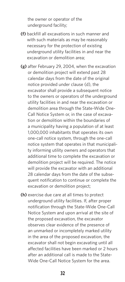the owner or operator of the underground facility;

- **(f)** backfill all excavations in such manner and with such materials as may be reasonably necessary for the protection of existing underground utility facilities in and near the excavation or demolition area;
- **(g)** after February 29, 2004, when the excavation or demolition project will extend past 28 calendar days from the date of the original notice provided under clause (d), the excavator shall provide a subsequent notice to the owners or operators of the underground utility facilities in and near the excavation or demolition area through the State-Wide One-Call Notice System or, in the case of excavation or demolition within the boundaries of a municipality having a population of at least 1,000,000 inhabitants that operates its own one-call notice system, through the one-call notice system that operates in that municipality informing utility owners and operators that additional time to complete the excavation or demolition project will be required. The notice will provide the excavator with an additional 28 calendar days from the date of the subsequent notification to continue or complete the excavation or demolition project;
- **(h)** exercise due care at all times to protect underground utility facilities. If, after proper notification through the State-Wide One-Call Notice System and upon arrival at the site of the proposed excavation, the excavator observes clear evidence of the presence of an unmarked or incompletely marked utility in the area of the proposed excavation, the excavator shall not begin excavating until all affected facilities have been marked or 2 hours after an additional call is made to the State-Wide One-Call Notice System for the area.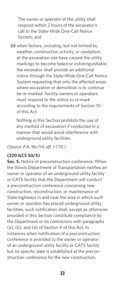The owner or operator of the utility shall respond within 2 hours of the excavator's call to the State-Wide One-Call Notice System; and

**(i)** when factors, including, but not limited to, weather, construction activity, or vandalism, at the excavation site have caused the utility markings to become faded or indistinguishable, the excavator shall provide an additional notice through the State-Wide One-Call Notice System requesting that only the affected areas where excavation or demolition is to continue be re-marked. Facility owners or operators must respond to the notice to re-mark according to the requirements of Section 10 of this Act.

Nothing in this Section prohibits the use of any method of excavation if conducted in a manner that would avoid interference with underground utility facilities.

*(Source: P.A. 96-714, eff. 1-1-10.)*

#### **(220 ILCS 50/5)**

**Sec. 5.** Notice of preconstruction conference. When the Illinois Department of Transportation notifies an owner or operator of an underground utility facility or CATS facility that the Department will conduct a preconstruction conference concerning new construction, reconstruction, or maintenance of State highways in and near the area in which such owner or operator has placed underground utility facilities, such notification shall, except as otherwise provided in this Section constitute compliance by the Department or its contractors with paragraphs (a), (b), and (d) of Section 4 of this Act. In instances when notification of a preconstruction conference is provided to the owner or operator of an underground utility facility or CATS facility but no specific date is established at the preconstruction conference for the new construction,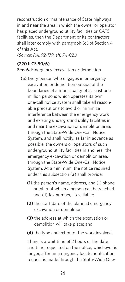reconstruction or maintenance of State highways in and near the area in which the owner or operator has placed underground utility facilities or CATS facilities, then the Department or its contractors shall later comply with paragraph (d) of Section 4 of this Act.

*(Source: P.A. 92-179, eff. 7-1-02.)*

#### **(220 ILCS 50/6)**

**Sec. 6.** Emergency excavation or demolition.

- **(a)** Every person who engages in emergency excavation or demolition outside of the boundaries of a municipality of at least one million persons which operates its own one-call notice system shall take all reasonable precautions to avoid or minimize interference between the emergency work and existing underground utility facilities in and near the excavation or demolition area, through the State-Wide One-Call Notice System, and shall notify, as far in advance as possible, the owners or operators of such underground utility facilities in and near the emergency excavation or demolition area, through the State-Wide One-Call Notice System. At a minimum, the notice required under this subsection (a) shall provide:
	- **(1)** the person's name, address, and (i) phone number at which a person can be reached and (ii) fax number, if available;
	- **(2)** the start date of the planned emergency excavation or demolition;
	- **(3)** the address at which the excavation or demolition will take place; and
	- **(4)** the type and extent of the work involved.

There is a wait time of 2 hours or the date and time requested on the notice, whichever is longer, after an emergency locate notification request is made through the State-Wide One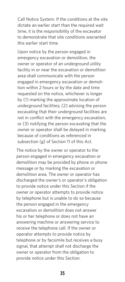Call Notice System. If the conditions at the site dictate an earlier start than the required wait time, it is the responsibility of the excavator to demonstrate that site conditions warranted this earlier start time.

Upon notice by the person engaged in emergency excavation or demolition, the owner or operator of an underground utility facility in or near the excavation or demolition area shall communicate with the person engaged in emergency excavation or demolition within 2 hours or by the date and time requested on the notice, whichever is longer by (1) marking the approximate location of underground facilities; (2) advising the person excavating that their underground facilities are not in conflict with the emergency excavation; or (3) notifying the person excavating that the owner or operator shall be delayed in marking because of conditions as referenced in subsection (g) of Section 11 of this Act.

The notice by the owner or operator to the person engaged in emergency excavation or demolition may be provided by phone or phone message or by marking the excavation or demolition area. The owner or operator has discharged the owner's or operator's obligation to provide notice under this Section if the owner or operator attempts to provide notice by telephone but is unable to do so because the person engaged in the emergency excavation or demolition does not answer his or her telephone or does not have an answering machine or answering service to receive the telephone call. If the owner or operator attempts to provide notice by telephone or by facsimile but receives a busy signal, that attempt shall not discharge the owner or operator from the obligation to provide notice under this Section.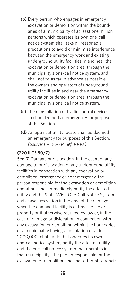- **(b)** Every person who engages in emergency excavation or demolition within the boundaries of a municipality of at least one million persons which operates its own one-call notice system shall take all reasonable precautions to avoid or minimize interference between the emergency work and existing underground utility facilities in and near the excavation or demolition area, through the municipality's one-call notice system, and shall notify, as far in advance as possible, the owners and operators of underground utility facilities in and near the emergency excavation or demolition area, through the municipality's one-call notice system.
- **(c)** The reinstallation of traffic control devices shall be deemed an emergency for purposes of this Section.
- **(d)** An open cut utility locate shall be deemed an emergency for purposes of this Section. *(Source: P.A. 96-714, eff. 1-1-10.)*

#### **(220 ILCS 50/7)**

**Sec. 7.** Damage or dislocation. In the event of any damage to or dislocation of any underground utility facilities in connection with any excavation or demolition, emergency or nonemergency, the person responsible for the excavation or demolition operations shall immediately notify the affected utility and the State-Wide One-Call Notice System and cease excavation in the area of the damage when the damaged facility is a threat to life or property or if otherwise required by law or, in the case of damage or dislocation in connection with any excavation or demolition within the boundaries of a municipality having a population of at least 1,000,000 inhabitants that operates its own one-call notice system, notify the affected utility and the one-call notice system that operates in that municipality. The person responsible for the excavation or demolition shall not attempt to repair,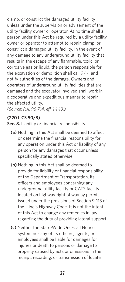clamp, or constrict the damaged utility facility unless under the supervision or advisement of the utility facility owner or operator. At no time shall a person under this Act be required by a utility facility owner or operator to attempt to repair, clamp, or constrict a damaged utility facility. In the event of any damage to any underground utility facility that results in the escape of any flammable, toxic, or corrosive gas or liquid, the person responsible for the excavation or demolition shall call 9-1-1 and notify authorities of the damage. Owners and operators of underground utility facilities that are damaged and the excavator involved shall work in a cooperative and expeditious manner to repair the affected utility.

*(Source: P.A. 96-714, eff. 1-1-10.)*

#### **(220 ILCS 50/8)**

**Sec. 8.** Liability or financial responsibility.

- **(a)** Nothing in this Act shall be deemed to affect or determine the financial responsibility for any operation under this Act or liability of any person for any damages that occur unless specifically stated otherwise.
- **(b)** Nothing in this Act shall be deemed to provide for liability or financial responsibility of the Department of Transportation, its officers and employees concerning any underground utility facility or CATS facility located on highway right of way by permit issued under the provisions of Section 9-113 of the Illinois Highway Code. It is not the intent of this Act to change any remedies in law regarding the duty of providing lateral support.
- **(c)** Neither the State-Wide One-Call Notice System nor any of its officers, agents, or employees shall be liable for damages for injuries or death to persons or damage to property caused by acts or omissions in the receipt, recording, or transmission of locate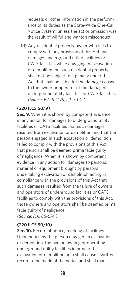requests or other information in the performance of its duties as the State-Wide One-Call Notice System, unless the act or omission was the result of willful and wanton misconduct.

**(d)** Any residential property owner who fails to comply with any provision of this Act and damages underground utility facilities or CATS facilities while engaging in excavation or demolition on such residential property shall not be subject to a penalty under this Act, but shall be liable for the damage caused to the owner or operator of the damaged underground utility facilities or CATS facilities. *(Source: P.A. 92-179, eff. 7-1-02.)*

#### **(220 ILCS 50/9)**

**Sec. 9.** When it is shown by competent evidence in any action for damages to underground utility facilities or CATS facilities that such damages resulted from excavation or demolition and that the person engaged in such excavation or demolition failed to comply with the provisions of this Act, that person shall be deemed prima facie guilty of negligence. When it is shown by competent evidence in any action for damages to persons, material or equipment brought by persons undertaking excavation or demolition acting in compliance with the provisions of this Act that such damages resulted from the failure of owners and operators of underground facilities or CATS facilities to comply with the provisions of this Act, those owners and operators shall be deemed prima facie guilty of negligence. *(Source: P.A. 86-674.)*

#### **(220 ILCS 50/10)**

Sec. 10. Record of notice; marking of facilities. Upon notice by the person engaged in excavation or demolition, the person owning or operating underground utility facilities in or near the excavation or demolition area shall cause a written record to be made of the notice and shall mark,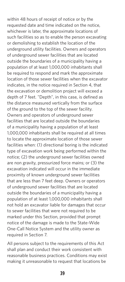within 48 hours of receipt of notice or by the requested date and time indicated on the notice, whichever is later, the approximate locations of such facilities so as to enable the person excavating or demolishing to establish the location of the underground utility facilities. Owners and operators of underground sewer facilities that are located outside the boundaries of a municipality having a population of at least 1,000,000 inhabitants shall be required to respond and mark the approximate location of those sewer facilities when the excavator indicates, in the notice required in Section 4, that the excavation or demolition project will exceed a depth of 7 feet. "Depth", in this case, is defined as the distance measured vertically from the surface of the ground to the top of the sewer facility. Owners and operators of underground sewer facilities that are located outside the boundaries of a municipality having a population of at least 1,000,000 inhabitants shall be required at all times to locate the approximate location of those sewer facilities when: (1) directional boring is the indicated type of excavation work being performed within the notice; (2) the underground sewer facilities owned are non gravity, pressurized force mains; or (3) the excavation indicated will occur in the immediate proximity of known underground sewer facilities that are less than 7 feet deep. Owners or operators of underground sewer facilities that are located outside the boundaries of a municipality having a population of at least 1,000,000 inhabitants shall not hold an excavator liable for damages that occur to sewer facilities that were not required to be marked under this Section, provided that prompt notice of the damage is made to the State-Wide One-Call Notice System and the utility owner as required in Section 7.

All persons subject to the requirements of this Act shall plan and conduct their work consistent with reasonable business practices. Conditions may exist making it unreasonable to request that locations be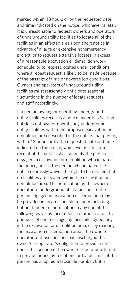marked within 48 hours or by the requested date and time indicated on the notice, whichever is later. It is unreasonable to request owners and operators of underground utility facilities to locate all of their facilities in an affected area upon short notice in advance of a large or extensive nonemergency project, or to request extensive locates in excess of a reasonable excavation or demolition work schedule, or to request locates under conditions where a repeat request is likely to be made because of the passage of time or adverse job conditions. Owners and operators of underground utility facilities must reasonably anticipate seasonal fluctuations in the number of locate requests and staff accordingly.

If a person owning or operating underground utility facilities receives a notice under this Section but does not own or operate any underground utility facilities within the proposed excavation or demolition area described in the notice, that person, within 48 hours or by the requested date and time indicated on the notice, whichever is later, after receipt of the notice, shall so notify the person engaged in excavation or demolition who initiated the notice, unless the person who initiated the notice expressly waives the right to be notified that no facilities are located within the excavation or demolition area. The notification by the owner or operator of underground utility facilities to the person engaged in excavation or demolition may be provided in any reasonable manner including, but not limited to, notification in any one of the following ways: by face to face communication; by phone or phone message; by facsimile; by posting in the excavation or demolition area; or by marking the excavation or demolition area. The owner or operator of those facilities has discharged the owner's or operator's obligation to provide notice under this Section if the owner or operator attempts to provide notice by telephone or by facsimile, if the person has supplied a facsimile number, but is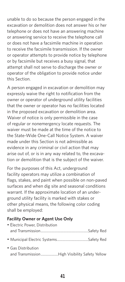unable to do so because the person engaged in the excavation or demolition does not answer his or her telephone or does not have an answering machine or answering service to receive the telephone call or does not have a facsimile machine in operation to receive the facsimile transmission. If the owner or operator attempts to provide notice by telephone or by facsimile but receives a busy signal, that attempt shall not serve to discharge the owner or operator of the obligation to provide notice under this Section.

A person engaged in excavation or demolition may expressly waive the right to notification from the owner or operator of underground utility facilities that the owner or operator has no facilities located in the proposed excavation or demolition area. Waiver of notice is only permissible in the case of regular or nonemergency locate requests. The waiver must be made at the time of the notice to the State-Wide One-Call Notice System. A waiver made under this Section is not admissible as evidence in any criminal or civil action that may arise out of, or is in any way related to, the excavation or demolition that is the subject of the waiver.

For the purposes of this Act, underground facility operators may utilize a combination of flags, stakes, and paint when possible on non-paved surfaces and when dig site and seasonal conditions warrant. If the approximate location of an underground utility facility is marked with stakes or other physical means, the following color coding shall be employed:

#### **Facility Owner or Agent Use Only**

| • Electric Power, Distribution                |  |
|-----------------------------------------------|--|
|                                               |  |
|                                               |  |
| • Gas Distribution                            |  |
| and TransmissionHigh Visibility Safety Yellow |  |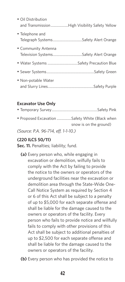| • Oil Distribution                     | and TransmissionHigh Visibility Safety Yellow |
|----------------------------------------|-----------------------------------------------|
| • Telephone and                        |                                               |
| • Community Antenna                    |                                               |
| · Water Systems Safety Precaution Blue |                                               |
|                                        |                                               |
| • Non-potable Water                    |                                               |

#### **Excavator Use Only**

| • Proposed Excavation Safety White (Black when |
|------------------------------------------------|
| snow is on the ground)                         |

*(Source: P.A. 96-714, eff. 1-1-10.)*

#### **(220 ILCS 50/11)**

Sec. 11. Penalties; liability; fund.

- **(a)** Every person who, while engaging in excavation or demolition, wilfully fails to comply with the Act by failing to provide the notice to the owners or operators of the underground facilities near the excavation or demolition area through the State-Wide One-Call Notice System as required by Section 4 or 6 of this Act shall be subject to a penalty of up to \$5,000 for each separate offense and shall be liable for the damage caused to the owners or operators of the facility. Every person who fails to provide notice and willfully fails to comply with other provisions of this Act shall be subject to additional penalties of up to \$2,500 for each separate offense and shall be liable for the damage caused to the owners or operators of the facility.
- **(b)** Every person who has provided the notice to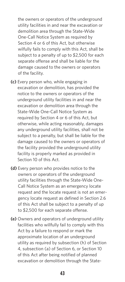the owners or operators of the underground utility facilities in and near the excavation or demolition area through the State-Wide One-Call Notice System as required by Section 4 or 6 of this Act, but otherwise wilfully fails to comply with this Act, shall be subject to a penalty of up to \$2,500 for each separate offense and shall be liable for the damage caused to the owners or operators of the facility.

- **(c)** Every person who, while engaging in excavation or demolition, has provided the notice to the owners or operators of the underground utility facilities in and near the excavation or demolition area through the State-Wide One-Call Notice System as required by Section 4 or 6 of this Act, but otherwise, while acting reasonably, damages any underground utility facilities, shall not be subject to a penalty, but shall be liable for the damage caused to the owners or operators of the facility provided the underground utility facility is properly marked as provided in Section 10 of this Act.
- **(d)** Every person who provides notice to the owners or operators of the underground utility facilities through the State-Wide One-Call Notice System as an emergency locate request and the locate request is not an emergency locate request as defined in Section 2.6 of this Act shall be subject to a penalty of up to \$2,500 for each separate offense.
- **(e)** Owners and operators of underground utility facilities who willfully fail to comply with this Act by a failure to respond or mark the approximate location of an underground utility as required by subsection (h) of Section 4, subsection (a) of Section 6, or Section 10 of this Act after being notified of planned excavation or demolition through the State-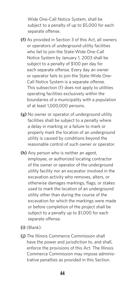Wide One-Call Notice System, shall be subject to a penalty of up to \$5,000 for each separate offense.

- **(f)** As provided in Section 3 of this Act, all owners or operators of underground utility facilities who fail to join the State-Wide One-Call Notice System by January 1, 2003 shall be subject to a penalty of \$100 per day for each separate offense. Every day an owner or operator fails to join the State-Wide One-Call Notice System is a separate offense. This subsection (f) does not apply to utilities operating facilities exclusively within the boundaries of a municipality with a population of at least 1,000,000 persons.
- **(g)** No owner or operator of underground utility facilities shall be subject to a penalty where a delay in marking or a failure to mark or properly mark the location of an underground utility is caused by conditions beyond the reasonable control of such owner or operator.
- **(h)** Any person who is neither an agent, employee, or authorized locating contractor of the owner or operator of the underground utility facility nor an excavator involved in the excavation activity who removes, alters, or otherwise damages markings, flags, or stakes used to mark the location of an underground utility other than during the course of the excavation for which the markings were made or before completion of the project shall be subject to a penalty up to \$1,000 for each separate offense.
- **(i)** (Blank).
- **(j)** The Illinois Commerce Commission shall have the power and jurisdiction to, and shall, enforce the provisions of this Act. The Illinois Commerce Commission may impose administrative penalties as provided in this Section.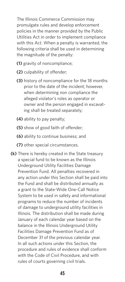The Illinois Commerce Commission may promulgate rules and develop enforcement policies in the manner provided by the Public Utilities Act in order to implement compliance with this Act. When a penalty is warranted, the following criteria shall be used in determining the magnitude of the penalty:

- **(1)** gravity of noncompliance;
- **(2)** culpability of offender;
- **(3)** history of noncompliance for the 18 months prior to the date of the incident; however, when determining non compliance the alleged violator's roles as operator or owner and the person engaged in excavating shall be treated separately;
- **(4)** ability to pay penalty;
- **(5)** show of good faith of offender;
- **(6)** ability to continue business; and
- **(7)** other special circumstances.
- **(k)** There is hereby created in the State treasury a special fund to be known as the Illinois Underground Utility Facilities Damage Prevention Fund. All penalties recovered in any action under this Section shall be paid into the Fund and shall be distributed annually as a grant to the State-Wide One-Call Notice System to be used in safety and informational programs to reduce the number of incidents of damage to underground utility facilities in Illinois. The distribution shall be made during January of each calendar year based on the balance in the Illinois Underground Utility Facilities Damage Prevention Fund as of December 31 of the previous calendar year. In all such actions under this Section, the procedure and rules of evidence shall conform with the Code of Civil Procedure, and with rules of courts governing civil trials.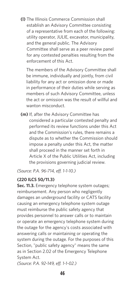**(l)** The Illinois Commerce Commission shall establish an Advisory Committee consisting of a representative from each of the following: utility operator, JULIE, excavator, municipality, and the general public. The Advisory Committee shall serve as a peer review panel for any contested penalties resulting from the enforcement of this Act.

The members of the Advisory Committee shall be immune, individually and jointly, from civil liability for any act or omission done or made in performance of their duties while serving as members of such Advisory Committee, unless the act or omission was the result of willful and wanton misconduct.

**(m)** If, after the Advisory Committee has considered a particular contested penalty and performed its review functions under this Act and the Commission's rules, there remains a dispute as to whether the Commission should impose a penalty under this Act, the matter shall proceed in the manner set forth in Article X of the Public Utilities Act, including the provisions governing judicial review.

*(Source: P.A. 96-714, eff. 1-1-10.)*

#### **(220 ILCS 50/11.3)**

**Sec. 11.3.** Emergency telephone system outages; reimbursement. Any person who negligently damages an underground facility or CATS facility causing an emergency telephone system outage must reimburse the public safety agency that provides personnel to answer calls or to maintain or operate an emergency telephone system during the outage for the agency's costs associated with answering calls or maintaining or operating the system during the outage. For the purposes of this Section, "public safety agency" means the same as in Section 2.02 of the Emergency Telephone System Act.

*(Source: P.A. 92-149, eff. 1-1-02.)*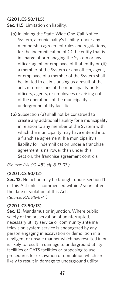#### **(220 ILCS 50/11.5)**

**Sec. 11.5.** Limitation on liability.

- **(a)** In joining the State-Wide One-Call Notice System, a municipality's liability, under any membership agreement rules and regulations, for the indemnification of (i) the entity that is in charge of or managing the System or any officer, agent, or employee of that entity or (ii) a member of the System or any officer, agent, or employee of a member of the System shall be limited to claims arising as a result of the acts or omissions of the municipality or its officers, agents, or employees or arising out of the operations of the municipality's underground utility facilities.
- **(b)** Subsection (a) shall not be construed to create any additional liability for a municipality in relation to any member of the System with which the municipality may have entered into a franchise agreement. If a municipality's liability for indemnification under a franchise agreement is narrower than under this Section, the franchise agreement controls.

*(Source: P.A. 90-481, eff. 8-17-97.)*

#### **(220 ILCS 50/12)**

**Sec. 12.** No action may be brought under Section 11 of this Act unless commenced within 2 years after the date of violation of this Act. *(Source: P.A. 86-674.)*

#### **(220 ILCS 50/13)**

**Sec. 13.** Mandamus or injunction. Where public safety or the preservation of uninterrupted, necessary utility service or community antenna television system service is endangered by any person engaging in excavation or demolition in a negligent or unsafe manner which has resulted in or is likely to result in damage to underground utility facilities or CATS facilities or proposing to use procedures for excavation or demolition which are likely to result in damage to underground utility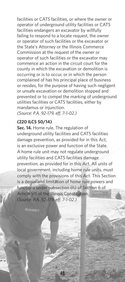facilities or CATS facilities, or where the owner or operator of underground utility facilities or CATS facilities endangers an excavator by willfully failing to respond to a locate request, the owner or operator of such facilities or the excavator or the State's Attorney or the Illinois Commerce Commission at the request of the owner or operator of such facilities or the excavator may commence an action in the circuit court for the county in which the excavation or demolition is occurring or is to occur, or in which the person complained of has his principal place of business or resides, for the purpose of having such negligent or unsafe excavation or demolition stopped and prevented or to compel the marking of underground utilities facilities or CATS facilities, either by mandamus or injunction. *(Source: P.A. 92-179, eff. 7-1-02.)*

#### **(220 ILCS 50/14)**

**Sec. 14.** Home rule. The regulation of underground utility facilities and CATS facilities damage prevention, as provided for in this Act, is an exclusive power and function of the State. A home rule unit may not regulate underground utility facilities and CATS facilities damage prevention, as provided for in this Act. All units of local government, including home rule units, must comply with the provisions of this Act. This Section is a denial and limitation of home rule powers and functions under subsection (h) of Section 6 of Article VII of the Illinois Constitution. *(Source: P.A. 92-179, eff. 7-1-02.)*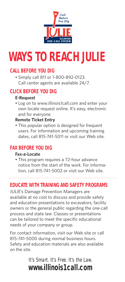

## **WAYS TO REACH JULIE**

### **CALL BEFORE YOU DIG**

• Simply call 811 or 1-800-892-0123. Call center agents are available 24/7.

#### **CLICK BEFORE YOU DIG**

#### **E-Request**

• Log on to www.illinois1call.com and enter your own locate request online. It's easy, electronic and for everyone.

#### **Remote Ticket Entry**

• This popular option is designed for frequent users. For information and upcoming training dates, call 815-741-5011 or visit our Web site.

### **FAX BEFORE YOU DIG**

#### **Fax-a-Locate**

• This program requires a 72-hour advance notice from the start of the work. For information, call 815-741-5002 or visit our Web site.

### **EDUCATE WITH TRAINING AND SAFETY PROGRAMS**

JULIE's Damage Prevention Managers are available at no cost to discuss and provide safety and education presentations to excavators, facility owners or the general public regarding the one-call process and state law. Classes or presentations can be tailored to meet the specific educational needs of your company or group.

For contact information, visit our Web site or call 815-741-5000 during normal business hours. Safety and education materials are also available on the site.

> It's Smart. It's Free. It's the Law. **www.illinois1call.com**